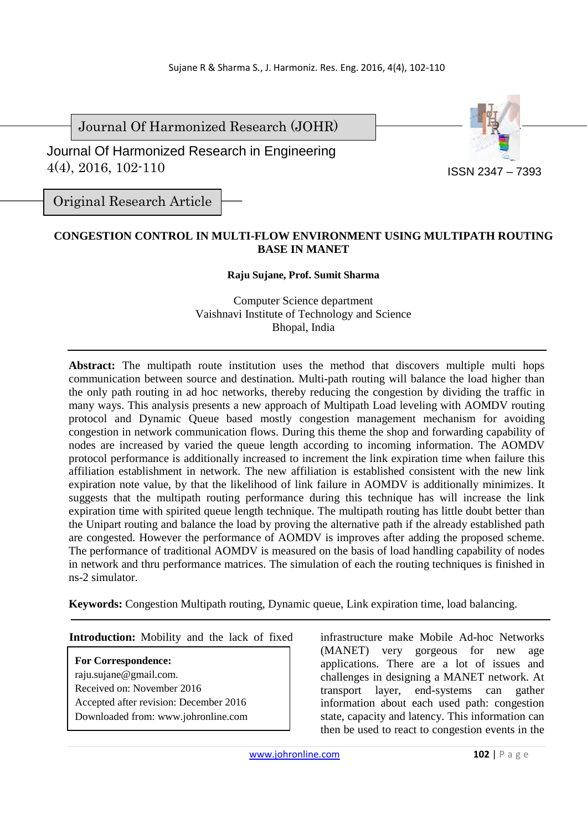Journal Of Harmonized Research (JOHR)

 Journal Of Harmonized Research in Engineering 4(4), 2016, 102-110



Original Research Article

## **CONGESTION CONTROL IN MULTI-FLOW ENVIRONMENT USING MULTIPATH ROUTING BASE IN MANET**

## **Raju Sujane, Prof. Sumit Sharma**

Computer Science department Vaishnavi Institute of Technology and Science Bhopal, India

Abstract: The multipath route institution uses the method that discovers multiple multi hops communication between source and destination. Multi-path routing will balance the load higher than the only path routing in ad hoc networks, thereby reducing the congestion by dividing the traffic in many ways. This analysis presents a new approach of Multipath Load leveling with AOMDV routing protocol and Dynamic Queue based mostly congestion management mechanism for avoiding congestion in network communication flows. During this theme the shop and forwarding capability of nodes are increased by varied the queue length according to incoming information. The AOMDV protocol performance is additionally increased to increment the link expiration time when failure this affiliation establishment in network. The new affiliation is established consistent with the new link expiration note value, by that the likelihood of link failure in AOMDV is additionally minimizes. It suggests that the multipath routing performance during this technique has will increase the link expiration time with spirited queue length technique. The multipath routing has little doubt better than the Unipart routing and balance the load by proving the alternative path if the already established path are congested. However the performance of AOMDV is improves after adding the proposed scheme. The performance of traditional AOMDV is measured on the basis of load handling capability of nodes in network and thru performance matrices. The simulation of each the routing techniques is finished in ns-2 simulator.

**Keywords:** Congestion Multipath routing, Dynamic queue, Link expiration time, load balancing.

**For Correspondence:**  raju.sujane@gmail.com. Received on: November 2016 Accepted after revision: December 2016 Downloaded from: www.johronline.com

**Introduction:** Mobility and the lack of fixed infrastructure make Mobile Ad-hoc Networks (MANET) very gorgeous for new age applications. There are a lot of issues and challenges in designing a MANET network. At transport layer, end-systems can gather information about each used path: congestion state, capacity and latency. This information can then be used to react to congestion events in the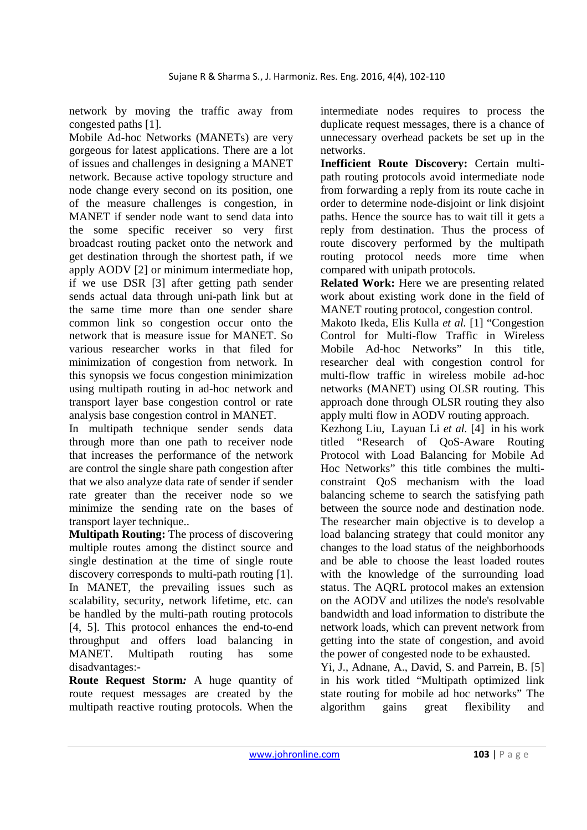network by moving the traffic away from congested paths [1].

Mobile Ad-hoc Networks (MANETs) are very gorgeous for latest applications. There are a lot of issues and challenges in designing a MANET network. Because active topology structure and node change every second on its position, one of the measure challenges is congestion, in MANET if sender node want to send data into the some specific receiver so very first broadcast routing packet onto the network and get destination through the shortest path, if we apply AODV [2] or minimum intermediate hop, if we use DSR [3] after getting path sender sends actual data through uni-path link but at the same time more than one sender share common link so congestion occur onto the network that is measure issue for MANET. So various researcher works in that filed for minimization of congestion from network. In this synopsis we focus congestion minimization using multipath routing in ad-hoc network and transport layer base congestion control or rate analysis base congestion control in MANET.

In multipath technique sender sends data through more than one path to receiver node that increases the performance of the network are control the single share path congestion after that we also analyze data rate of sender if sender rate greater than the receiver node so we minimize the sending rate on the bases of transport layer technique..

**Multipath Routing:** The process of discovering multiple routes among the distinct source and single destination at the time of single route discovery corresponds to multi-path routing [1]. In MANET, the prevailing issues such as scalability, security, network lifetime, etc. can be handled by the multi-path routing protocols [4, 5]. This protocol enhances the end-to-end throughput and offers load balancing in MANET. Multipath routing has some disadvantages:-

**Route Request Storm***:* A huge quantity of route request messages are created by the multipath reactive routing protocols. When the intermediate nodes requires to process the duplicate request messages, there is a chance of unnecessary overhead packets be set up in the networks.

**Inefficient Route Discovery:** Certain multipath routing protocols avoid intermediate node from forwarding a reply from its route cache in order to determine node-disjoint or link disjoint paths. Hence the source has to wait till it gets a reply from destination. Thus the process of route discovery performed by the multipath routing protocol needs more time when compared with unipath protocols.

**Related Work:** Here we are presenting related work about existing work done in the field of MANET routing protocol, congestion control.

Makoto Ikeda, Elis Kulla *et al.* [1] "Congestion Control for Multi-flow Traffic in Wireless Mobile Ad-hoc Networks" In this title, researcher deal with congestion control for multi-flow traffic in wireless mobile ad-hoc networks (MANET) using OLSR routing. This approach done through OLSR routing they also apply multi flow in AODV routing approach.

Kezhong Liu, Layuan Li *et al.* [4] in his work titled "Research of QoS-Aware Routing Protocol with Load Balancing for Mobile Ad Hoc Networks" this title combines the multiconstraint QoS mechanism with the load balancing scheme to search the satisfying path between the source node and destination node. The researcher main objective is to develop a load balancing strategy that could monitor any changes to the load status of the neighborhoods and be able to choose the least loaded routes with the knowledge of the surrounding load status. The AQRL protocol makes an extension on the AODV and utilizes the node's resolvable bandwidth and load information to distribute the network loads, which can prevent network from getting into the state of congestion, and avoid the power of congested node to be exhausted.

Yi, J., Adnane, A., David, S. and Parrein, B. [5] in his work titled "Multipath optimized link state routing for mobile ad hoc networks" The algorithm gains great flexibility and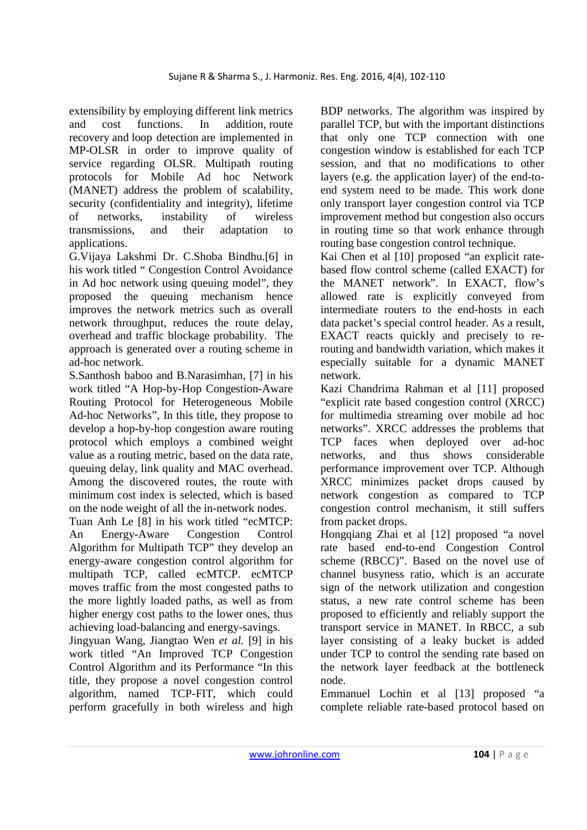extensibility by employing different link metrics and cost functions. In addition, route recovery and loop detection are implemented in MP-OLSR in order to improve quality of service regarding OLSR. Multipath routing protocols for Mobile Ad hoc Network (MANET) address the problem of scalability, security (confidentiality and integrity), lifetime of networks, instability of wireless transmissions, and their adaptation to applications.

G.Vijaya Lakshmi Dr. C.Shoba Bindhu.[6] in his work titled " Congestion Control Avoidance in Ad hoc network using queuing model", they proposed the queuing mechanism hence improves the network metrics such as overall network throughput, reduces the route delay, overhead and traffic blockage probability. The approach is generated over a routing scheme in ad-hoc network.

S.Santhosh baboo and B.Narasimhan, [7] in his work titled "A Hop-by-Hop Congestion-Aware Routing Protocol for Heterogeneous Mobile Ad-hoc Networks", In this title, they propose to develop a hop-by-hop congestion aware routing protocol which employs a combined weight value as a routing metric, based on the data rate, queuing delay, link quality and MAC overhead. Among the discovered routes, the route with minimum cost index is selected, which is based on the node weight of all the in-network nodes.

Tuan Anh Le [8] in his work titled "ecMTCP: An Energy-Aware Congestion Control Algorithm for Multipath TCP" they develop an energy-aware congestion control algorithm for multipath TCP, called ecMTCP. ecMTCP moves traffic from the most congested paths to the more lightly loaded paths, as well as from higher energy cost paths to the lower ones, thus achieving load-balancing and energy-savings.

Jingyuan Wang, Jiangtao Wen *et al.* [9] in his work titled "An Improved TCP Congestion Control Algorithm and its Performance "In this title, they propose a novel congestion control algorithm, named TCP-FIT, which could perform gracefully in both wireless and high

BDP networks. The algorithm was inspired by parallel TCP, but with the important distinctions that only one TCP connection with one congestion window is established for each TCP session, and that no modifications to other layers (e.g. the application layer) of the end-toend system need to be made. This work done only transport layer congestion control via TCP improvement method but congestion also occurs in routing time so that work enhance through routing base congestion control technique.

Kai Chen et al [10] proposed "an explicit ratebased flow control scheme (called EXACT) for the MANET network". In EXACT, flow's allowed rate is explicitly conveyed from intermediate routers to the end-hosts in each data packet's special control header. As a result, EXACT reacts quickly and precisely to rerouting and bandwidth variation, which makes it especially suitable for a dynamic MANET network.

Kazi Chandrima Rahman et al [11] proposed "explicit rate based congestion control (XRCC) for multimedia streaming over mobile ad hoc networks". XRCC addresses the problems that TCP faces when deployed over ad-hoc networks, and thus shows considerable performance improvement over TCP. Although XRCC minimizes packet drops caused by network congestion as compared to TCP congestion control mechanism, it still suffers from packet drops.

Hongqiang Zhai et al [12] proposed "a novel rate based end-to-end Congestion Control scheme (RBCC)". Based on the novel use of channel busyness ratio, which is an accurate sign of the network utilization and congestion status, a new rate control scheme has been proposed to efficiently and reliably support the transport service in MANET. In RBCC, a sub layer consisting of a leaky bucket is added under TCP to control the sending rate based on the network layer feedback at the bottleneck node.

Emmanuel Lochin et al [13] proposed "a complete reliable rate-based protocol based on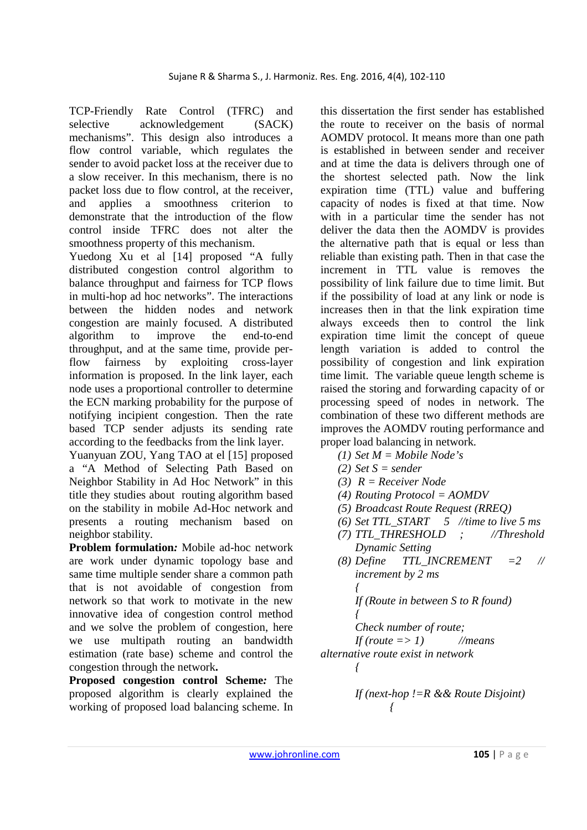TCP-Friendly Rate Control (TFRC) and selective acknowledgement (SACK) mechanisms". This design also introduces a flow control variable, which regulates the sender to avoid packet loss at the receiver due to a slow receiver. In this mechanism, there is no packet loss due to flow control, at the receiver, and applies a smoothness criterion to demonstrate that the introduction of the flow control inside TFRC does not alter the smoothness property of this mechanism.

Yuedong Xu et al [14] proposed "A fully distributed congestion control algorithm to balance throughput and fairness for TCP flows in multi-hop ad hoc networks". The interactions between the hidden nodes and network congestion are mainly focused. A distributed algorithm to improve the end-to-end throughput, and at the same time, provide perflow fairness by exploiting cross-layer information is proposed. In the link layer, each node uses a proportional controller to determine the ECN marking probability for the purpose of notifying incipient congestion. Then the rate based TCP sender adjusts its sending rate according to the feedbacks from the link layer.

Yuanyuan ZOU, Yang TAO at el [15] proposed a "A Method of Selecting Path Based on Neighbor Stability in Ad Hoc Network" in this title they studies about routing algorithm based on the stability in mobile Ad-Hoc network and presents a routing mechanism based on neighbor stability.

**Problem formulation***:* Mobile ad-hoc network are work under dynamic topology base and same time multiple sender share a common path that is not avoidable of congestion from network so that work to motivate in the new innovative idea of congestion control method and we solve the problem of congestion, here we use multipath routing an bandwidth estimation (rate base) scheme and control the congestion through the network**.** 

**Proposed congestion control Scheme***:* The proposed algorithm is clearly explained the working of proposed load balancing scheme. In this dissertation the first sender has established the route to receiver on the basis of normal AOMDV protocol. It means more than one path is established in between sender and receiver and at time the data is delivers through one of the shortest selected path. Now the link expiration time (TTL) value and buffering capacity of nodes is fixed at that time. Now with in a particular time the sender has not deliver the data then the AOMDV is provides the alternative path that is equal or less than reliable than existing path. Then in that case the increment in TTL value is removes the possibility of link failure due to time limit. But if the possibility of load at any link or node is increases then in that the link expiration time always exceeds then to control the link expiration time limit the concept of queue length variation is added to control the possibility of congestion and link expiration time limit. The variable queue length scheme is raised the storing and forwarding capacity of or processing speed of nodes in network. The combination of these two different methods are improves the AOMDV routing performance and proper load balancing in network.

- *(1) Set M = Mobile Node's*
- *(2) Set S = sender*
- *(3) R = Receiver Node*
- *(4) Routing Protocol = AOMDV*
- *(5) Broadcast Route Request (RREQ)*
- *(6) Set TTL\_START 5 //time to live 5 ms*
- *(7) TTL\_THRESHOLD ; //Threshold Dynamic Setting*
- *(8) Define TTL\_INCREMENT =2 // increment by 2 ms { If (Route in between S to R found) { Check number of route;*

 *If (route => 1) //means* 

*alternative route exist in network* 

 *{* 

If 
$$
(next-hop != R & & Route Disjoint)
$$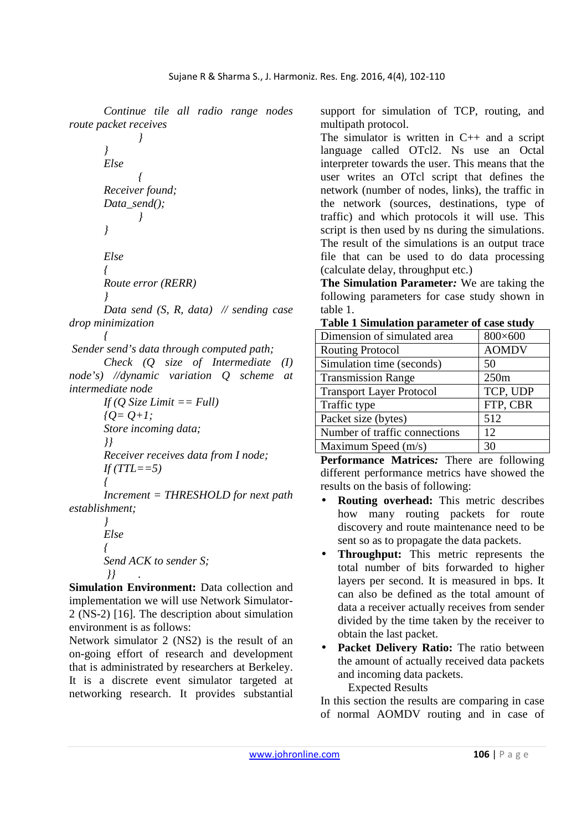*Continue tile all radio range nodes route packet receives* 

 *} } Else { Receiver found; Data\_send(); }* 

$$
\overline{}
$$

 *Else { Route error (RERR)* 

 *}* 

 *Data send (S, R, data) // sending case drop minimization* 

 *{ Sender send's data through computed path;* 

 *Check (Q size of Intermediate (I) node's) //dynamic variation Q scheme at intermediate node* 

 *If (Q Size Limit == Full)*   ${Q=Q+1}$ ;  *Store incoming data; }} Receiver receives data from I node;*   $If (TTL == 5)$  *{* 

 *Increment = THRESHOLD for next path establishment;* 

 *} Else { Send ACK to sender S; }} .* 

**Simulation Environment:** Data collection and implementation we will use Network Simulator-2 (NS-2) [16]. The description about simulation environment is as follows:

Network simulator 2 (NS2) is the result of an on-going effort of research and development that is administrated by researchers at Berkeley. It is a discrete event simulator targeted at networking research. It provides substantial support for simulation of TCP, routing, and multipath protocol.

The simulator is written in  $C_{++}$  and a script language called OTcl2. Ns use an Octal interpreter towards the user. This means that the user writes an OTcl script that defines the network (number of nodes, links), the traffic in the network (sources, destinations, type of traffic) and which protocols it will use. This script is then used by ns during the simulations. The result of the simulations is an output trace file that can be used to do data processing (calculate delay, throughput etc.)

**The Simulation Parameter***:* We are taking the following parameters for case study shown in table 1.

**Table 1 Simulation parameter of case study** 

| Dimension of simulated area     | 800×600      |
|---------------------------------|--------------|
| <b>Routing Protocol</b>         | <b>AOMDV</b> |
| Simulation time (seconds)       | 50           |
| <b>Transmission Range</b>       | 250m         |
| <b>Transport Layer Protocol</b> | TCP, UDP     |
| Traffic type                    | FTP, CBR     |
| Packet size (bytes)             | 512          |
| Number of traffic connections   | 12           |
| Maximum Speed (m/s)             | 30           |

**Performance Matrices***:* There are following different performance metrics have showed the results on the basis of following:

- **Routing overhead:** This metric describes how many routing packets for route discovery and route maintenance need to be sent so as to propagate the data packets.
- **Throughput:** This metric represents the total number of bits forwarded to higher layers per second. It is measured in bps. It can also be defined as the total amount of data a receiver actually receives from sender divided by the time taken by the receiver to obtain the last packet.
- **Packet Delivery Ratio:** The ratio between the amount of actually received data packets and incoming data packets. Expected Results

of normal AOMDV routing and in case of

In this section the results are comparing in case

www.johronline.com **106** | P a g e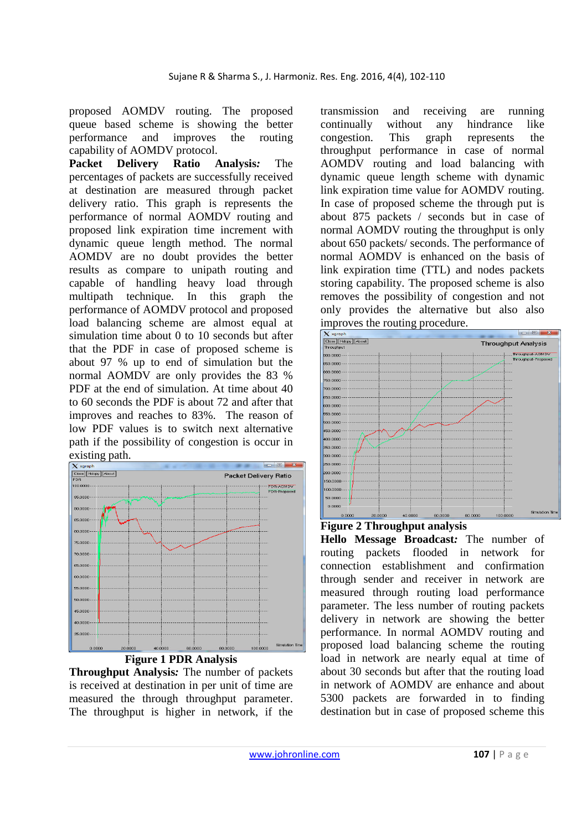proposed AOMDV routing. The proposed queue based scheme is showing the better performance and improves the routing capability of AOMDV protocol.

**Packet Delivery Ratio Analysis***:* The percentages of packets are successfully received at destination are measured through packet delivery ratio. This graph is represents the performance of normal AOMDV routing and proposed link expiration time increment with dynamic queue length method. The normal AOMDV are no doubt provides the better results as compare to unipath routing and capable of handling heavy load through multipath technique. In this graph the performance of AOMDV protocol and proposed load balancing scheme are almost equal at simulation time about 0 to 10 seconds but after that the PDF in case of proposed scheme is about 97 % up to end of simulation but the normal AOMDV are only provides the 83 % PDF at the end of simulation. At time about 40 to 60 seconds the PDF is about 72 and after that improves and reaches to 83%. The reason of low PDF values is to switch next alternative path if the possibility of congestion is occur in



## **Figure 1 PDR Analysis**

**Throughput Analysis***:* The number of packets is received at destination in per unit of time are measured the through throughput parameter. The throughput is higher in network, if the transmission and receiving are running continually without any hindrance like congestion. This graph represents the throughput performance in case of normal AOMDV routing and load balancing with dynamic queue length scheme with dynamic link expiration time value for AOMDV routing. In case of proposed scheme the through put is about 875 packets / seconds but in case of normal AOMDV routing the throughput is only about 650 packets/ seconds. The performance of normal AOMDV is enhanced on the basis of link expiration time (TTL) and nodes packets storing capability. The proposed scheme is also removes the possibility of congestion and not only provides the alternative but also also improves the routing procedure.



## **Figure 2 Throughput analysis**

**Hello Message Broadcast***:* The number of routing packets flooded in network for connection establishment and confirmation through sender and receiver in network are measured through routing load performance parameter. The less number of routing packets delivery in network are showing the better performance. In normal AOMDV routing and proposed load balancing scheme the routing load in network are nearly equal at time of about 30 seconds but after that the routing load in network of AOMDV are enhance and about 5300 packets are forwarded in to finding destination but in case of proposed scheme this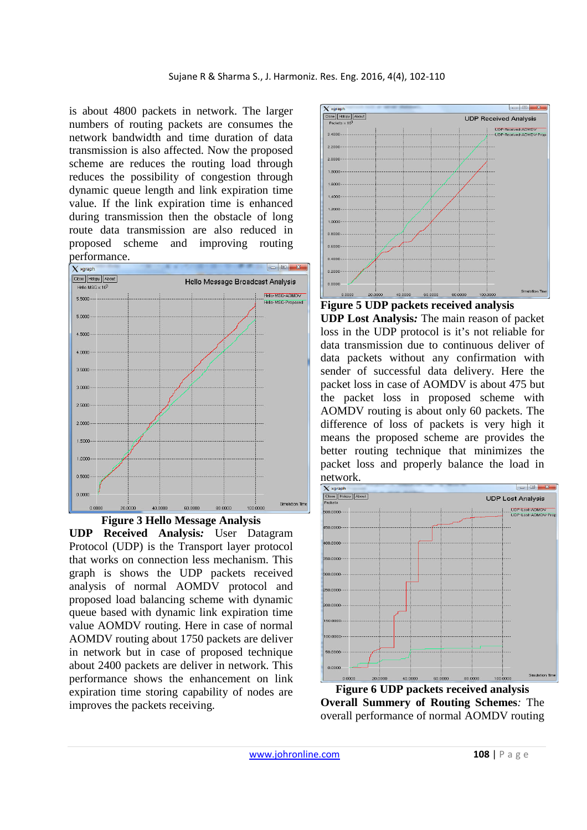is about 4800 packets in network. The larger numbers of routing packets are consumes the network bandwidth and time duration of data transmission is also affected. Now the proposed scheme are reduces the routing load through reduces the possibility of congestion through dynamic queue length and link expiration time value. If the link expiration time is enhanced during transmission then the obstacle of long route data transmission are also reduced in proposed scheme and improving routing performance.





**UDP Received Analysis***:* User Datagram Protocol (UDP) is the Transport layer protocol that works on connection less mechanism. This graph is shows the UDP packets received analysis of normal AOMDV protocol and proposed load balancing scheme with dynamic queue based with dynamic link expiration time value AOMDV routing. Here in case of normal AOMDV routing about 1750 packets are deliver in network but in case of proposed technique about 2400 packets are deliver in network. This performance shows the enhancement on link expiration time storing capability of nodes are improves the packets receiving.





**UDP Lost Analysis***:* The main reason of packet loss in the UDP protocol is it's not reliable for data transmission due to continuous deliver of data packets without any confirmation with sender of successful data delivery. Here the packet loss in case of AOMDV is about 475 but the packet loss in proposed scheme with AOMDV routing is about only 60 packets. The difference of loss of packets is very high it means the proposed scheme are provides the better routing technique that minimizes the packet loss and properly balance the load in network.



**Figure 6 UDP packets received analysis Overall Summery of Routing Schemes***:* The overall performance of normal AOMDV routing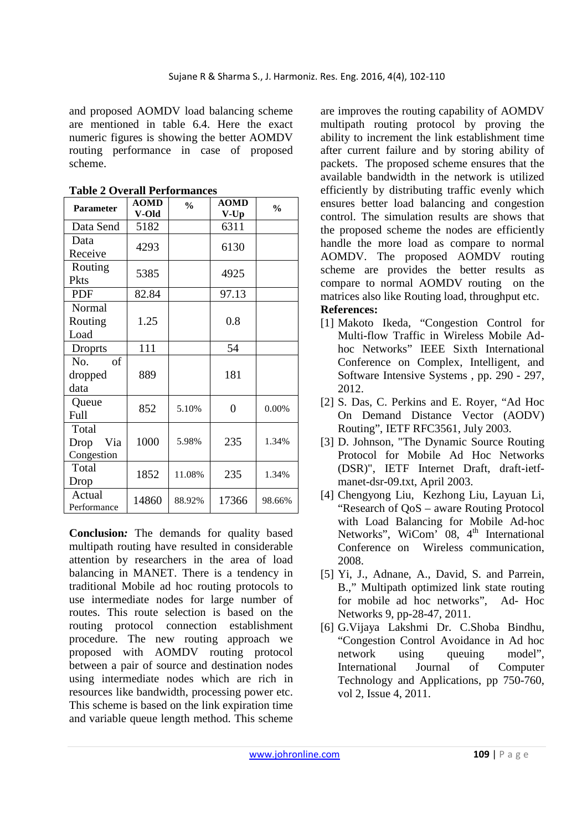and proposed AOMDV load balancing scheme are mentioned in table 6.4. Here the exact numeric figures is showing the better AOMDV routing performance in case of proposed scheme.

| <b>Parameter</b>                   | <b>AOMD</b><br>V-Old | $\frac{0}{0}$ | <b>AOMD</b><br>$V$ - $Up$ | $\frac{0}{0}$ |
|------------------------------------|----------------------|---------------|---------------------------|---------------|
| Data Send                          | 5182                 |               | 6311                      |               |
| Data<br>Receive                    | 4293                 |               | 6130                      |               |
| Routing<br>Pkts                    | 5385                 |               | 4925                      |               |
| <b>PDF</b>                         | 82.84                |               | 97.13                     |               |
| Normal<br>Routing<br>Load          | 1.25                 |               | 0.8                       |               |
| <b>Droprts</b>                     | 111                  |               | 54                        |               |
| No.<br>οf<br>dropped<br>data       | 889                  |               | 181                       |               |
| Queue<br>Full                      | 852                  | 5.10%         | 0                         | 0.00%         |
| Total<br>Drop<br>Via<br>Congestion | 1000                 | 5.98%         | 235                       | 1.34%         |
| Total<br>Drop                      | 1852                 | 11.08%        | 235                       | 1.34%         |
| Actual<br>Performance              | 14860                | 88.92%        | 17366                     | 98.66%        |

**Table 2 Overall Performances** 

**Conclusion***:* The demands for quality based multipath routing have resulted in considerable attention by researchers in the area of load balancing in MANET. There is a tendency in traditional Mobile ad hoc routing protocols to use intermediate nodes for large number of routes. This route selection is based on the routing protocol connection establishment procedure. The new routing approach we proposed with AOMDV routing protocol between a pair of source and destination nodes using intermediate nodes which are rich in resources like bandwidth, processing power etc. This scheme is based on the link expiration time and variable queue length method. This scheme

are improves the routing capability of AOMDV multipath routing protocol by proving the ability to increment the link establishment time after current failure and by storing ability of packets. The proposed scheme ensures that the available bandwidth in the network is utilized efficiently by distributing traffic evenly which ensures better load balancing and congestion control. The simulation results are shows that the proposed scheme the nodes are efficiently handle the more load as compare to normal AOMDV. The proposed AOMDV routing scheme are provides the better results as compare to normal AOMDV routing on the matrices also like Routing load, throughput etc. **References:** 

- [1] Makoto Ikeda, "Congestion Control for Multi-flow Traffic in Wireless Mobile Adhoc Networks" IEEE Sixth International Conference on Complex, Intelligent, and Software Intensive Systems , pp. 290 - 297, 2012.
- [2] S. Das, C. Perkins and E. Royer, "Ad Hoc On Demand Distance Vector (AODV) Routing", IETF RFC3561, July 2003.
- [3] D. Johnson, "The Dynamic Source Routing Protocol for Mobile Ad Hoc Networks (DSR)", IETF Internet Draft, draft-ietfmanet-dsr-09.txt, April 2003.
- [4] Chengyong Liu, Kezhong Liu, Layuan Li, "Research of QoS – aware Routing Protocol with Load Balancing for Mobile Ad-hoc Networks", WiCom' 08,  $4<sup>th</sup>$  International Conference on Wireless communication, 2008.
- [5] Yi, J., Adnane, A., David, S. and Parrein, B.," Multipath optimized link state routing for mobile ad hoc networks", Ad- Hoc Networks 9, pp-28-47, 2011.
- [6] G.Vijaya Lakshmi Dr. C.Shoba Bindhu, "Congestion Control Avoidance in Ad hoc network using queuing model", International Journal of Computer Technology and Applications, pp 750-760, vol 2, Issue 4, 2011.